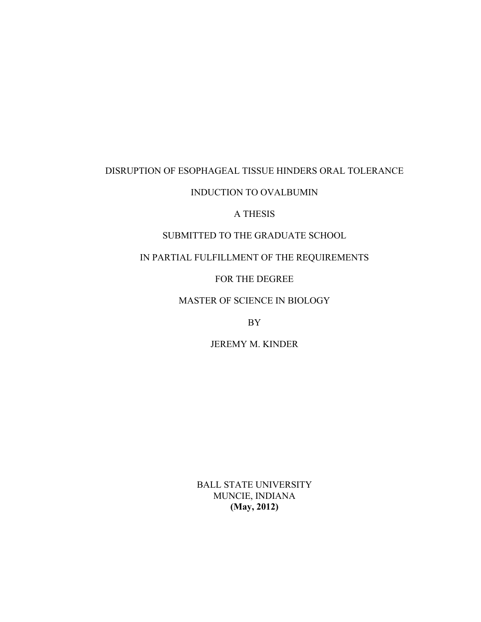# DISRUPTION OF ESOPHAGEAL TISSUE HINDERS ORAL TOLERANCE

# INDUCTION TO OVALBUMIN

## A THESIS

# SUBMITTED TO THE GRADUATE SCHOOL

# IN PARTIAL FULFILLMENT OF THE REQUIREMENTS

## FOR THE DEGREE

# MASTER OF SCIENCE IN BIOLOGY

## BY

## JEREMY M. KINDER

BALL STATE UNIVERSITY MUNCIE, INDIANA **(May, 2012)**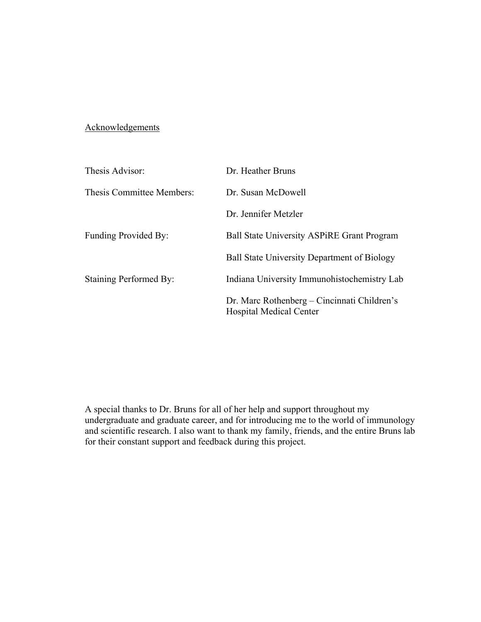# **Acknowledgements**

| Thesis Advisor:           | Dr. Heather Bruns                                                             |
|---------------------------|-------------------------------------------------------------------------------|
| Thesis Committee Members: | Dr. Susan McDowell                                                            |
|                           | Dr. Jennifer Metzler                                                          |
| Funding Provided By:      | <b>Ball State University ASPIRE Grant Program</b>                             |
|                           | <b>Ball State University Department of Biology</b>                            |
| Staining Performed By:    | Indiana University Immunohistochemistry Lab                                   |
|                           | Dr. Marc Rothenberg – Cincinnati Children's<br><b>Hospital Medical Center</b> |

A special thanks to Dr. Bruns for all of her help and support throughout my undergraduate and graduate career, and for introducing me to the world of immunology and scientific research. I also want to thank my family, friends, and the entire Bruns lab for their constant support and feedback during this project.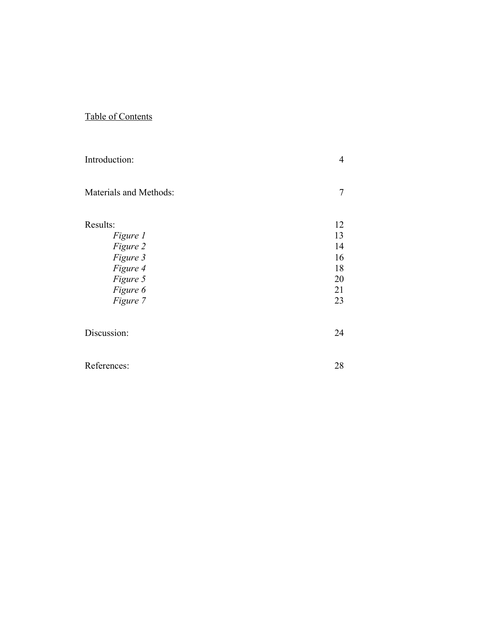# Table of Contents

| Introduction:          | 4  |
|------------------------|----|
| Materials and Methods: | 7  |
| Results:               | 12 |
| Figure 1               | 13 |
| Figure 2               | 14 |
| Figure 3               | 16 |
| Figure 4               | 18 |
| Figure 5               | 20 |
| Figure 6               | 21 |
| Figure 7               | 23 |
| Discussion:            | 24 |
| References:            | 28 |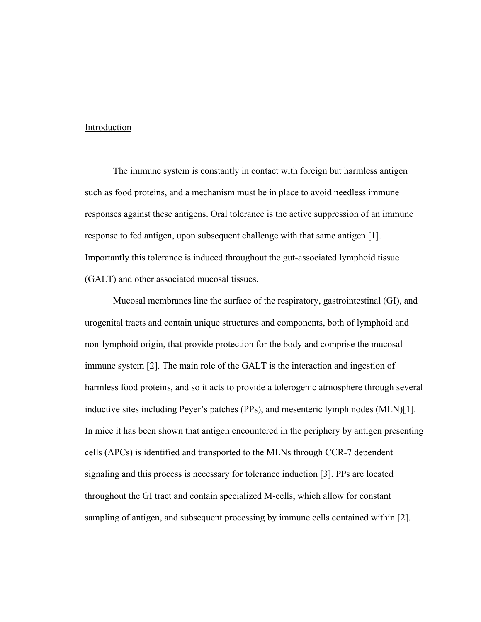#### Introduction

The immune system is constantly in contact with foreign but harmless antigen such as food proteins, and a mechanism must be in place to avoid needless immune responses against these antigens. Oral tolerance is the active suppression of an immune response to fed antigen, upon subsequent challenge with that same antigen [1]. Importantly this tolerance is induced throughout the gut-associated lymphoid tissue (GALT) and other associated mucosal tissues.

Mucosal membranes line the surface of the respiratory, gastrointestinal (GI), and urogenital tracts and contain unique structures and components, both of lymphoid and non-lymphoid origin, that provide protection for the body and comprise the mucosal immune system [2]. The main role of the GALT is the interaction and ingestion of harmless food proteins, and so it acts to provide a tolerogenic atmosphere through several inductive sites including Peyer's patches (PPs), and mesenteric lymph nodes (MLN)[1]. In mice it has been shown that antigen encountered in the periphery by antigen presenting cells (APCs) is identified and transported to the MLNs through CCR-7 dependent signaling and this process is necessary for tolerance induction [3]. PPs are located throughout the GI tract and contain specialized M-cells, which allow for constant sampling of antigen, and subsequent processing by immune cells contained within [2].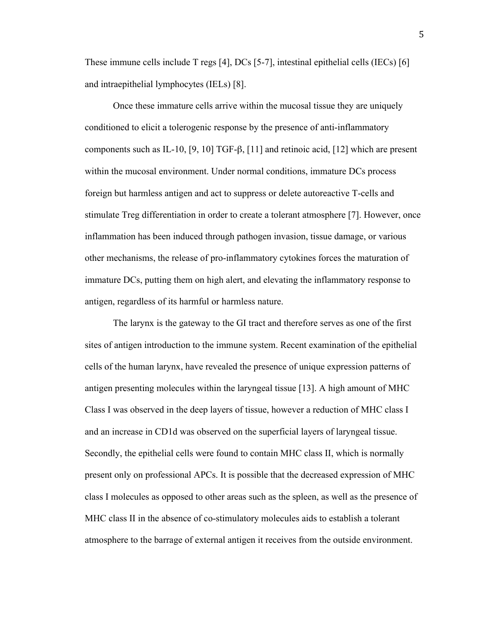These immune cells include T regs [4], DCs [5-7], intestinal epithelial cells (IECs) [6] and intraepithelial lymphocytes (IELs) [8].

Once these immature cells arrive within the mucosal tissue they are uniquely conditioned to elicit a tolerogenic response by the presence of anti-inflammatory components such as IL-10, [9, 10] TGF-β, [11] and retinoic acid, [12] which are present within the mucosal environment. Under normal conditions, immature DCs process foreign but harmless antigen and act to suppress or delete autoreactive T-cells and stimulate Treg differentiation in order to create a tolerant atmosphere [7]. However, once inflammation has been induced through pathogen invasion, tissue damage, or various other mechanisms, the release of pro-inflammatory cytokines forces the maturation of immature DCs, putting them on high alert, and elevating the inflammatory response to antigen, regardless of its harmful or harmless nature.

The larynx is the gateway to the GI tract and therefore serves as one of the first sites of antigen introduction to the immune system. Recent examination of the epithelial cells of the human larynx, have revealed the presence of unique expression patterns of antigen presenting molecules within the laryngeal tissue [13]. A high amount of MHC Class I was observed in the deep layers of tissue, however a reduction of MHC class I and an increase in CD1d was observed on the superficial layers of laryngeal tissue. Secondly, the epithelial cells were found to contain MHC class II, which is normally present only on professional APCs. It is possible that the decreased expression of MHC class I molecules as opposed to other areas such as the spleen, as well as the presence of MHC class II in the absence of co-stimulatory molecules aids to establish a tolerant atmosphere to the barrage of external antigen it receives from the outside environment.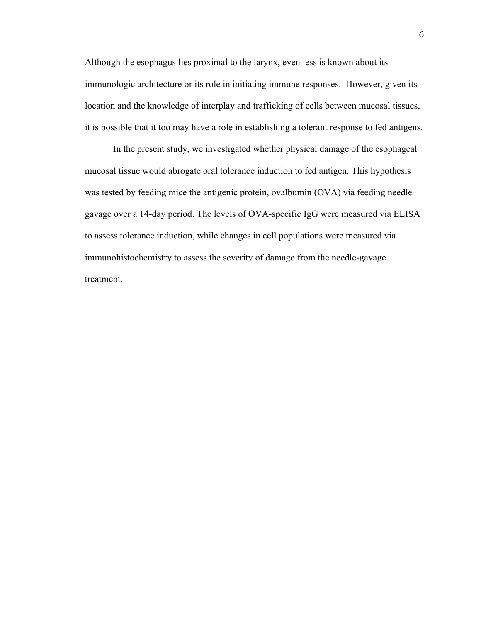Although the esophagus lies proximal to the larynx, even less is known about its immunologic architecture or its role in initiating immune responses. However, given its location and the knowledge of interplay and trafficking of cells between mucosal tissues, it is possible that it too may have a role in establishing a tolerant response to fed antigens.

In the present study, we investigated whether physical damage of the esophageal mucosal tissue would abrogate oral tolerance induction to fed antigen. This hypothesis was tested by feeding mice the antigenic protein, ovalbumin (OVA) via feeding needle gavage over a 14-day period. The levels of OVA-specific IgG were measured via ELISA to assess tolerance induction, while changes in cell populations were measured via immunohistochemistry to assess the severity of damage from the needle-gavage treatment.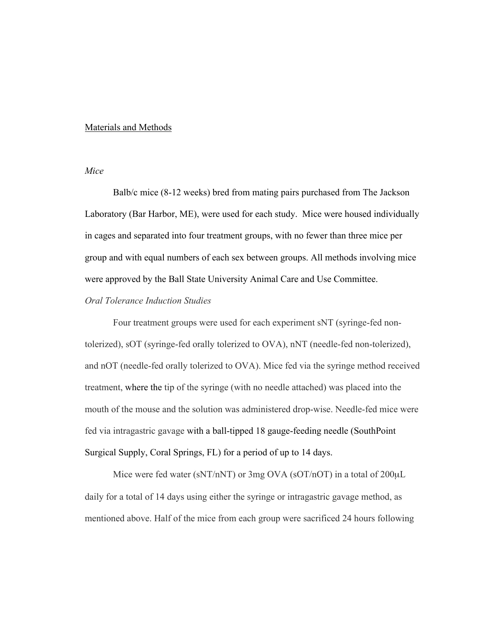#### Materials and Methods

#### *Mice*

Balb/c mice (8-12 weeks) bred from mating pairs purchased from The Jackson Laboratory (Bar Harbor, ME), were used for each study. Mice were housed individually in cages and separated into four treatment groups, with no fewer than three mice per group and with equal numbers of each sex between groups. All methods involving mice were approved by the Ball State University Animal Care and Use Committee.

## *Oral Tolerance Induction Studies*

Four treatment groups were used for each experiment sNT (syringe-fed nontolerized), sOT (syringe-fed orally tolerized to OVA), nNT (needle-fed non-tolerized), and nOT (needle-fed orally tolerized to OVA). Mice fed via the syringe method received treatment, where the tip of the syringe (with no needle attached) was placed into the mouth of the mouse and the solution was administered drop-wise. Needle-fed mice were fed via intragastric gavage with a ball-tipped 18 gauge-feeding needle (SouthPoint Surgical Supply, Coral Springs, FL) for a period of up to 14 days.

Mice were fed water (sNT/nNT) or 3mg OVA (sOT/nOT) in a total of 200µL daily for a total of 14 days using either the syringe or intragastric gavage method, as mentioned above. Half of the mice from each group were sacrificed 24 hours following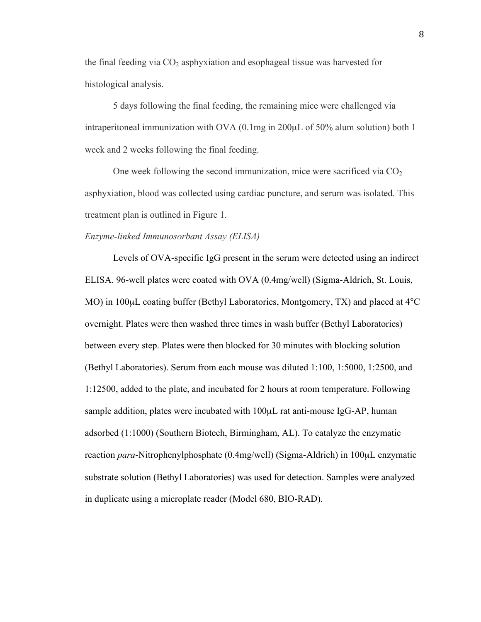the final feeding via  $CO<sub>2</sub>$  asphyxiation and esophageal tissue was harvested for histological analysis.

5 days following the final feeding, the remaining mice were challenged via intraperitoneal immunization with OVA (0.1mg in 200µL of 50% alum solution) both 1 week and 2 weeks following the final feeding.

One week following the second immunization, mice were sacrificed via  $CO<sub>2</sub>$ asphyxiation, blood was collected using cardiac puncture, and serum was isolated. This treatment plan is outlined in Figure 1.

#### *Enzyme-linked Immunosorbant Assay (ELISA)*

Levels of OVA-specific IgG present in the serum were detected using an indirect ELISA. 96-well plates were coated with OVA (0.4mg/well) (Sigma-Aldrich, St. Louis, MO) in 100µL coating buffer (Bethyl Laboratories, Montgomery, TX) and placed at 4<sup>o</sup>C overnight. Plates were then washed three times in wash buffer (Bethyl Laboratories) between every step. Plates were then blocked for 30 minutes with blocking solution (Bethyl Laboratories). Serum from each mouse was diluted 1:100, 1:5000, 1:2500, and 1:12500, added to the plate, and incubated for 2 hours at room temperature. Following sample addition, plates were incubated with 100 $\mu$ L rat anti-mouse IgG-AP, human adsorbed (1:1000) (Southern Biotech, Birmingham, AL). To catalyze the enzymatic reaction *para*-Nitrophenylphosphate (0.4mg/well) (Sigma-Aldrich) in 100µL enzymatic substrate solution (Bethyl Laboratories) was used for detection. Samples were analyzed in duplicate using a microplate reader (Model 680, BIO-RAD).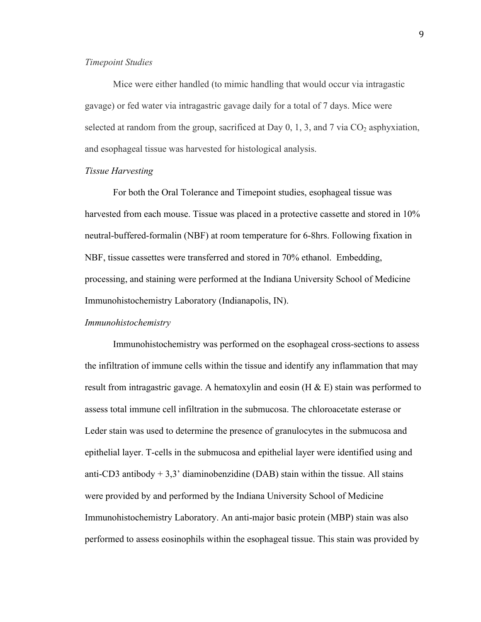#### *Timepoint Studies*

Mice were either handled (to mimic handling that would occur via intragastic gavage) or fed water via intragastric gavage daily for a total of 7 days. Mice were selected at random from the group, sacrificed at Day  $0, 1, 3$ , and  $7$  via  $CO<sub>2</sub>$  asphyxiation, and esophageal tissue was harvested for histological analysis.

#### *Tissue Harvesting*

For both the Oral Tolerance and Timepoint studies, esophageal tissue was harvested from each mouse. Tissue was placed in a protective cassette and stored in 10% neutral-buffered-formalin (NBF) at room temperature for 6-8hrs. Following fixation in NBF, tissue cassettes were transferred and stored in 70% ethanol. Embedding, processing, and staining were performed at the Indiana University School of Medicine Immunohistochemistry Laboratory (Indianapolis, IN).

#### *Immunohistochemistry*

Immunohistochemistry was performed on the esophageal cross-sections to assess the infiltration of immune cells within the tissue and identify any inflammation that may result from intragastric gavage. A hematoxylin and eosin (H  $\&$  E) stain was performed to assess total immune cell infiltration in the submucosa. The chloroacetate esterase or Leder stain was used to determine the presence of granulocytes in the submucosa and epithelial layer. T-cells in the submucosa and epithelial layer were identified using and anti-CD3 antibody  $+3.3$ ' diaminobenzidine (DAB) stain within the tissue. All stains were provided by and performed by the Indiana University School of Medicine Immunohistochemistry Laboratory. An anti-major basic protein (MBP) stain was also performed to assess eosinophils within the esophageal tissue. This stain was provided by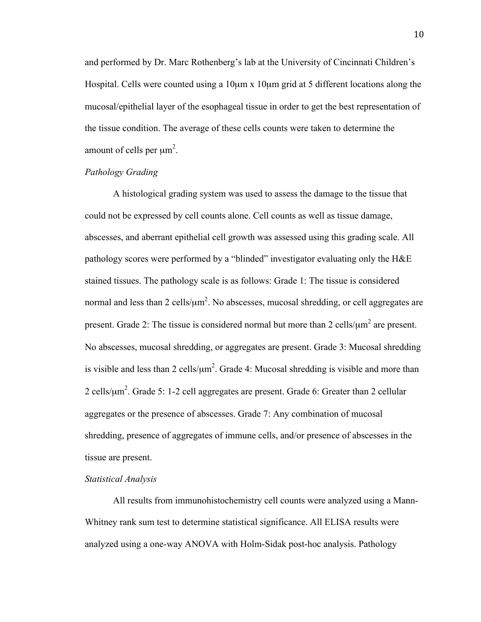and performed by Dr. Marc Rothenberg's lab at the University of Cincinnati Children's Hospital. Cells were counted using a 10 $\mu$ m x 10 $\mu$ m grid at 5 different locations along the mucosal/epithelial layer of the esophageal tissue in order to get the best representation of the tissue condition. The average of these cells counts were taken to determine the amount of cells per  $\mu$ m<sup>2</sup>.

#### *Pathology Grading*

A histological grading system was used to assess the damage to the tissue that could not be expressed by cell counts alone. Cell counts as well as tissue damage, abscesses, and aberrant epithelial cell growth was assessed using this grading scale. All pathology scores were performed by a "blinded" investigator evaluating only the H&E stained tissues. The pathology scale is as follows: Grade 1: The tissue is considered normal and less than 2 cells/ $\mu$ m<sup>2</sup>. No abscesses, mucosal shredding, or cell aggregates are present. Grade 2: The tissue is considered normal but more than 2 cells/ $\mu$ m<sup>2</sup> are present. No abscesses, mucosal shredding, or aggregates are present. Grade 3: Mucosal shredding is visible and less than 2 cells/ $\mu$ m<sup>2</sup>. Grade 4: Mucosal shredding is visible and more than 2 cells/ $\mu$ m<sup>2</sup>. Grade 5: 1-2 cell aggregates are present. Grade 6: Greater than 2 cellular aggregates or the presence of abscesses. Grade 7: Any combination of mucosal shredding, presence of aggregates of immune cells, and/or presence of abscesses in the tissue are present.

#### *Statistical Analysis*

All results from immunohistochemistry cell counts were analyzed using a Mann-Whitney rank sum test to determine statistical significance. All ELISA results were analyzed using a one-way ANOVA with Holm-Sidak post-hoc analysis. Pathology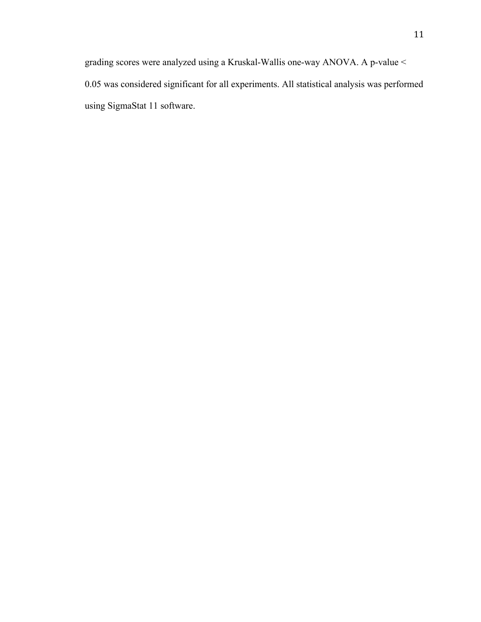grading scores were analyzed using a Kruskal-Wallis one-way ANOVA. A p-value < 0.05 was considered significant for all experiments. All statistical analysis was performed using SigmaStat 11 software.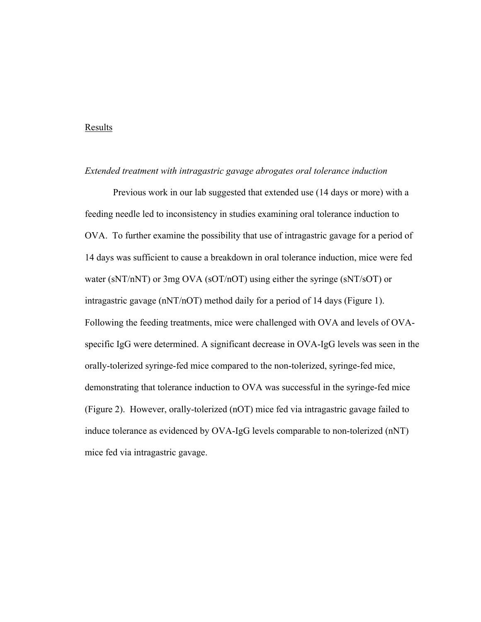#### Results

#### *Extended treatment with intragastric gavage abrogates oral tolerance induction*

Previous work in our lab suggested that extended use (14 days or more) with a feeding needle led to inconsistency in studies examining oral tolerance induction to OVA. To further examine the possibility that use of intragastric gavage for a period of 14 days was sufficient to cause a breakdown in oral tolerance induction, mice were fed water (sNT/nNT) or 3mg OVA (sOT/nOT) using either the syringe (sNT/sOT) or intragastric gavage (nNT/nOT) method daily for a period of 14 days (Figure 1). Following the feeding treatments, mice were challenged with OVA and levels of OVAspecific IgG were determined. A significant decrease in OVA-IgG levels was seen in the orally-tolerized syringe-fed mice compared to the non-tolerized, syringe-fed mice, demonstrating that tolerance induction to OVA was successful in the syringe-fed mice (Figure 2). However, orally-tolerized (nOT) mice fed via intragastric gavage failed to induce tolerance as evidenced by OVA-IgG levels comparable to non-tolerized (nNT) mice fed via intragastric gavage.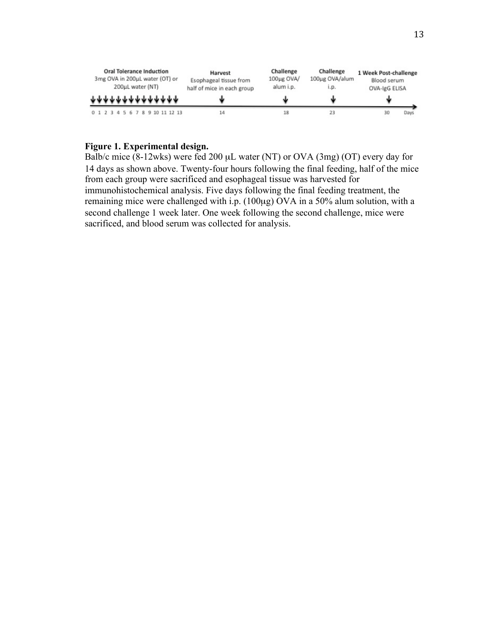

## **Figure 1. Experimental design.**

Balb/c mice (8-12wks) were fed 200 µL water (NT) or OVA (3mg) (OT) every day for 14 days as shown above. Twenty-four hours following the final feeding, half of the mice from each group were sacrificed and esophageal tissue was harvested for immunohistochemical analysis. Five days following the final feeding treatment, the remaining mice were challenged with i.p. (100µg) OVA in a 50% alum solution, with a second challenge 1 week later. One week following the second challenge, mice were sacrificed, and blood serum was collected for analysis.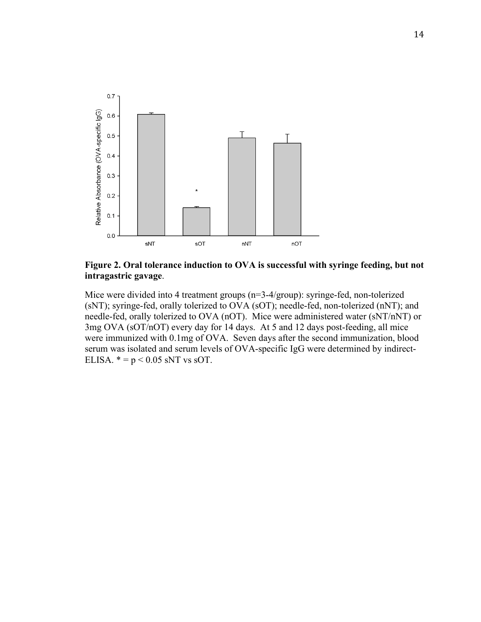

## **Figure 2. Oral tolerance induction to OVA is successful with syringe feeding, but not intragastric gavage**.

Mice were divided into 4 treatment groups (n=3-4/group): syringe-fed, non-tolerized (sNT); syringe-fed, orally tolerized to OVA (sOT); needle-fed, non-tolerized (nNT); and needle-fed, orally tolerized to OVA (nOT). Mice were administered water (sNT/nNT) or 3mg OVA (sOT/nOT) every day for 14 days. At 5 and 12 days post-feeding, all mice were immunized with 0.1mg of OVA. Seven days after the second immunization, blood serum was isolated and serum levels of OVA-specific IgG were determined by indirect-ELISA.  $* = p < 0.05$  sNT vs sOT.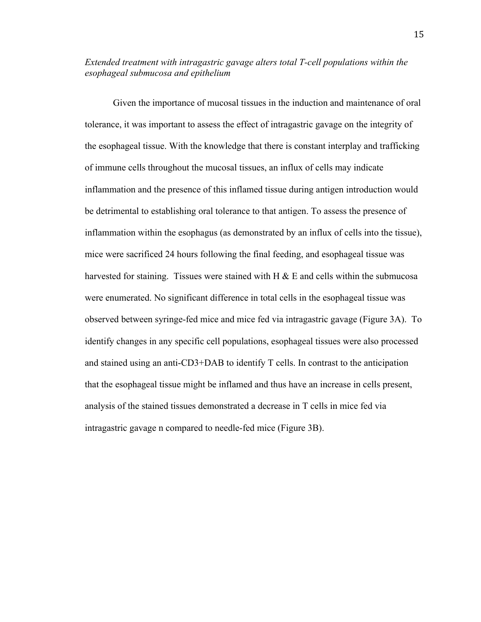## *Extended treatment with intragastric gavage alters total T-cell populations within the esophageal submucosa and epithelium*

Given the importance of mucosal tissues in the induction and maintenance of oral tolerance, it was important to assess the effect of intragastric gavage on the integrity of the esophageal tissue. With the knowledge that there is constant interplay and trafficking of immune cells throughout the mucosal tissues, an influx of cells may indicate inflammation and the presence of this inflamed tissue during antigen introduction would be detrimental to establishing oral tolerance to that antigen. To assess the presence of inflammation within the esophagus (as demonstrated by an influx of cells into the tissue), mice were sacrificed 24 hours following the final feeding, and esophageal tissue was harvested for staining. Tissues were stained with H  $\&$  E and cells within the submucosa were enumerated. No significant difference in total cells in the esophageal tissue was observed between syringe-fed mice and mice fed via intragastric gavage (Figure 3A). To identify changes in any specific cell populations, esophageal tissues were also processed and stained using an anti-CD3+DAB to identify T cells. In contrast to the anticipation that the esophageal tissue might be inflamed and thus have an increase in cells present, analysis of the stained tissues demonstrated a decrease in T cells in mice fed via intragastric gavage n compared to needle-fed mice (Figure 3B).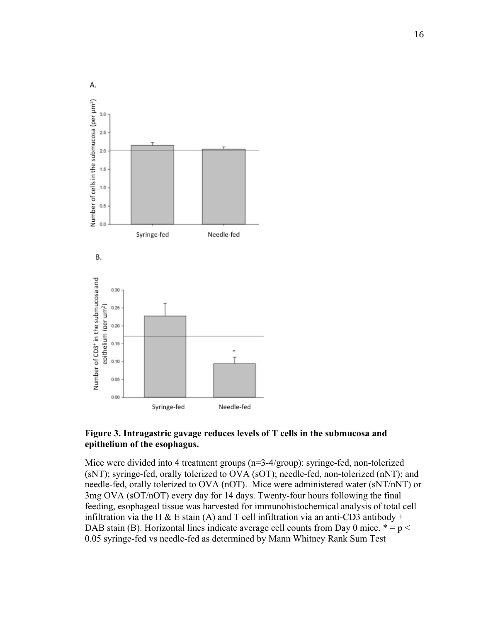

## **Figure 3. Intragastric gavage reduces levels of T cells in the submucosa and epithelium of the esophagus.**

Mice were divided into 4 treatment groups (n=3-4/group): syringe-fed, non-tolerized (sNT); syringe-fed, orally tolerized to OVA (sOT); needle-fed, non-tolerized (nNT); and needle-fed, orally tolerized to OVA (nOT). Mice were administered water (sNT/nNT) or 3mg OVA (sOT/nOT) every day for 14 days. Twenty-four hours following the final feeding, esophageal tissue was harvested for immunohistochemical analysis of total cell infiltration via the H & E stain (A) and T cell infiltration via an anti-CD3 antibody + DAB stain (B). Horizontal lines indicate average cell counts from Day 0 mice.  $* = p <$ 0.05 syringe-fed vs needle-fed as determined by Mann Whitney Rank Sum Test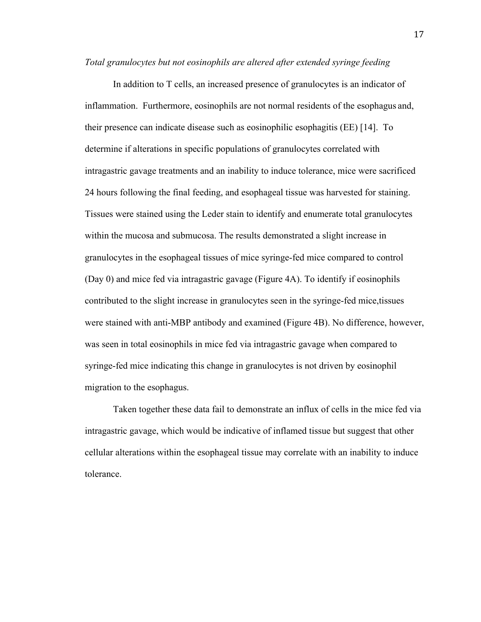#### *Total granulocytes but not eosinophils are altered after extended syringe feeding*

In addition to T cells, an increased presence of granulocytes is an indicator of inflammation. Furthermore, eosinophils are not normal residents of the esophagus and, their presence can indicate disease such as eosinophilic esophagitis (EE) [14]. To determine if alterations in specific populations of granulocytes correlated with intragastric gavage treatments and an inability to induce tolerance, mice were sacrificed 24 hours following the final feeding, and esophageal tissue was harvested for staining. Tissues were stained using the Leder stain to identify and enumerate total granulocytes within the mucosa and submucosa. The results demonstrated a slight increase in granulocytes in the esophageal tissues of mice syringe-fed mice compared to control (Day 0) and mice fed via intragastric gavage (Figure 4A). To identify if eosinophils contributed to the slight increase in granulocytes seen in the syringe-fed mice,tissues were stained with anti-MBP antibody and examined (Figure 4B). No difference, however, was seen in total eosinophils in mice fed via intragastric gavage when compared to syringe-fed mice indicating this change in granulocytes is not driven by eosinophil migration to the esophagus.

Taken together these data fail to demonstrate an influx of cells in the mice fed via intragastric gavage, which would be indicative of inflamed tissue but suggest that other cellular alterations within the esophageal tissue may correlate with an inability to induce tolerance.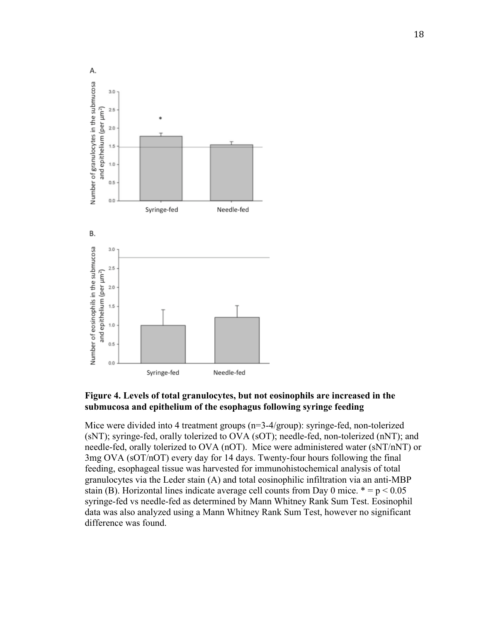

## **Figure 4. Levels of total granulocytes, but not eosinophils are increased in the submucosa and epithelium of the esophagus following syringe feeding**

Mice were divided into 4 treatment groups (n=3-4/group): syringe-fed, non-tolerized (sNT); syringe-fed, orally tolerized to OVA (sOT); needle-fed, non-tolerized (nNT); and needle-fed, orally tolerized to OVA (nOT). Mice were administered water (sNT/nNT) or 3mg OVA (sOT/nOT) every day for 14 days. Twenty-four hours following the final feeding, esophageal tissue was harvested for immunohistochemical analysis of total granulocytes via the Leder stain (A) and total eosinophilic infiltration via an anti-MBP stain (B). Horizontal lines indicate average cell counts from Day 0 mice.  $* = p < 0.05$ syringe-fed vs needle-fed as determined by Mann Whitney Rank Sum Test. Eosinophil data was also analyzed using a Mann Whitney Rank Sum Test, however no significant difference was found.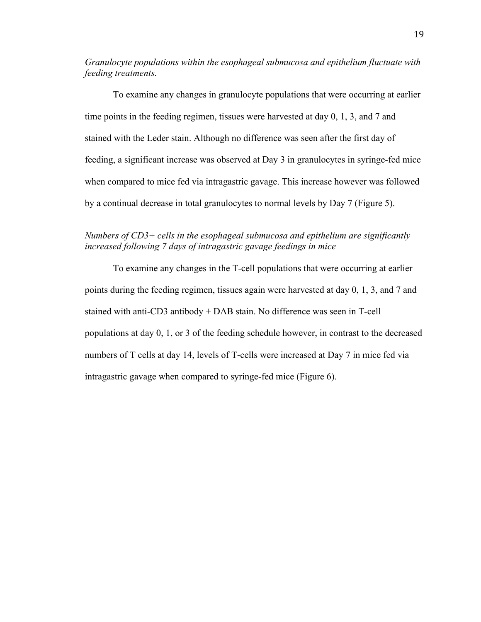*Granulocyte populations within the esophageal submucosa and epithelium fluctuate with feeding treatments.*

To examine any changes in granulocyte populations that were occurring at earlier time points in the feeding regimen, tissues were harvested at day 0, 1, 3, and 7 and stained with the Leder stain. Although no difference was seen after the first day of feeding, a significant increase was observed at Day 3 in granulocytes in syringe-fed mice when compared to mice fed via intragastric gavage. This increase however was followed by a continual decrease in total granulocytes to normal levels by Day 7 (Figure 5).

## *Numbers of CD3+ cells in the esophageal submucosa and epithelium are significantly increased following 7 days of intragastric gavage feedings in mice*

To examine any changes in the T-cell populations that were occurring at earlier points during the feeding regimen, tissues again were harvested at day 0, 1, 3, and 7 and stained with anti-CD3 antibody + DAB stain. No difference was seen in T-cell populations at day 0, 1, or 3 of the feeding schedule however, in contrast to the decreased numbers of T cells at day 14, levels of T-cells were increased at Day 7 in mice fed via intragastric gavage when compared to syringe-fed mice (Figure 6).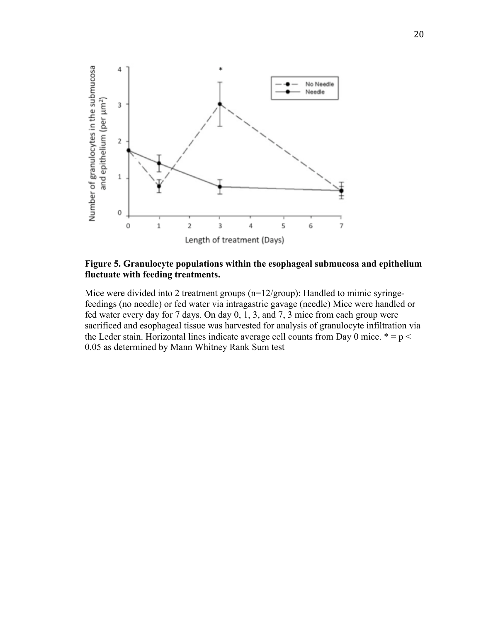

**Figure 5. Granulocyte populations within the esophageal submucosa and epithelium fluctuate with feeding treatments.**

Mice were divided into 2 treatment groups (n=12/group): Handled to mimic syringefeedings (no needle) or fed water via intragastric gavage (needle) Mice were handled or fed water every day for 7 days. On day 0, 1, 3, and 7, 3 mice from each group were sacrificed and esophageal tissue was harvested for analysis of granulocyte infiltration via the Leder stain. Horizontal lines indicate average cell counts from Day 0 mice.  $* = p <$ 0.05 as determined by Mann Whitney Rank Sum test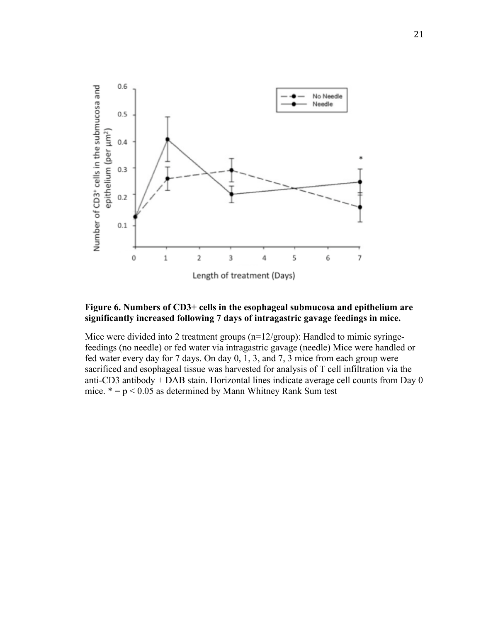

## **Figure 6. Numbers of CD3+ cells in the esophageal submucosa and epithelium are significantly increased following 7 days of intragastric gavage feedings in mice.**

Mice were divided into 2 treatment groups (n=12/group): Handled to mimic syringefeedings (no needle) or fed water via intragastric gavage (needle) Mice were handled or fed water every day for 7 days. On day 0, 1, 3, and 7, 3 mice from each group were sacrificed and esophageal tissue was harvested for analysis of T cell infiltration via the anti-CD3 antibody + DAB stain. Horizontal lines indicate average cell counts from Day 0 mice.  $* = p < 0.05$  as determined by Mann Whitney Rank Sum test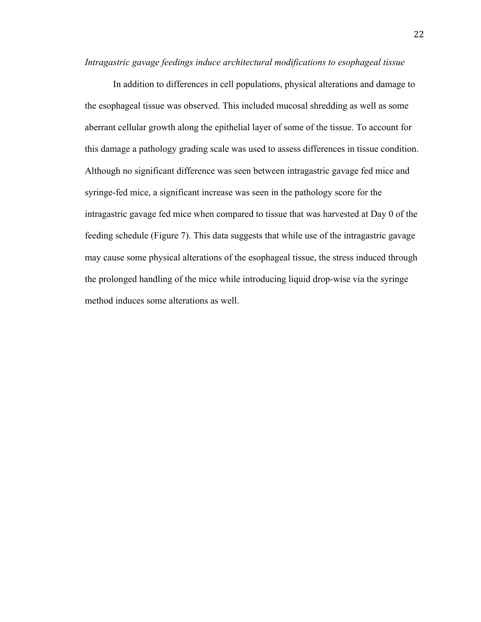*Intragastric gavage feedings induce architectural modifications to esophageal tissue*

In addition to differences in cell populations, physical alterations and damage to the esophageal tissue was observed. This included mucosal shredding as well as some aberrant cellular growth along the epithelial layer of some of the tissue. To account for this damage a pathology grading scale was used to assess differences in tissue condition. Although no significant difference was seen between intragastric gavage fed mice and syringe-fed mice, a significant increase was seen in the pathology score for the intragastric gavage fed mice when compared to tissue that was harvested at Day 0 of the feeding schedule (Figure 7). This data suggests that while use of the intragastric gavage may cause some physical alterations of the esophageal tissue, the stress induced through the prolonged handling of the mice while introducing liquid drop-wise via the syringe method induces some alterations as well.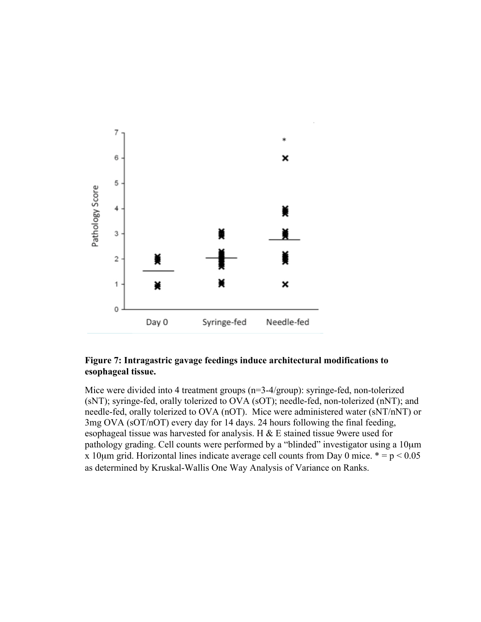

## **Figure 7: Intragastric gavage feedings induce architectural modifications to esophageal tissue.**

Mice were divided into 4 treatment groups (n=3-4/group): syringe-fed, non-tolerized (sNT); syringe-fed, orally tolerized to OVA (sOT); needle-fed, non-tolerized (nNT); and needle-fed, orally tolerized to OVA (nOT). Mice were administered water (sNT/nNT) or 3mg OVA (sOT/nOT) every day for 14 days. 24 hours following the final feeding, esophageal tissue was harvested for analysis. H & E stained tissue 9were used for pathology grading. Cell counts were performed by a "blinded" investigator using a 10µm x 10 $\mu$ m grid. Horizontal lines indicate average cell counts from Day 0 mice.  $* = p < 0.05$ as determined by Kruskal-Wallis One Way Analysis of Variance on Ranks.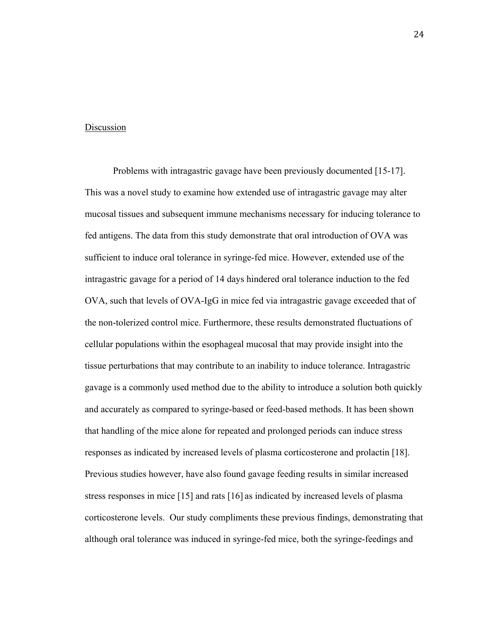#### **Discussion**

Problems with intragastric gavage have been previously documented [15-17]. This was a novel study to examine how extended use of intragastric gavage may alter mucosal tissues and subsequent immune mechanisms necessary for inducing tolerance to fed antigens. The data from this study demonstrate that oral introduction of OVA was sufficient to induce oral tolerance in syringe-fed mice. However, extended use of the intragastric gavage for a period of 14 days hindered oral tolerance induction to the fed OVA, such that levels of OVA-IgG in mice fed via intragastric gavage exceeded that of the non-tolerized control mice. Furthermore, these results demonstrated fluctuations of cellular populations within the esophageal mucosal that may provide insight into the tissue perturbations that may contribute to an inability to induce tolerance. Intragastric gavage is a commonly used method due to the ability to introduce a solution both quickly and accurately as compared to syringe-based or feed-based methods. It has been shown that handling of the mice alone for repeated and prolonged periods can induce stress responses as indicated by increased levels of plasma corticosterone and prolactin [18]. Previous studies however, have also found gavage feeding results in similar increased stress responses in mice [15] and rats [16] as indicated by increased levels of plasma corticosterone levels. Our study compliments these previous findings, demonstrating that although oral tolerance was induced in syringe-fed mice, both the syringe-feedings and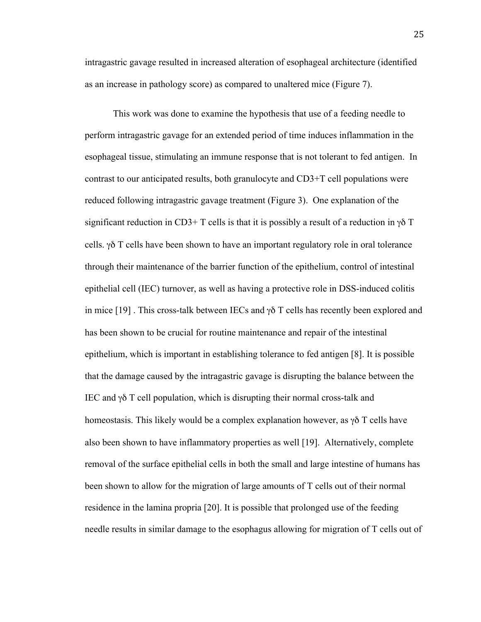intragastric gavage resulted in increased alteration of esophageal architecture (identified as an increase in pathology score) as compared to unaltered mice (Figure 7).

This work was done to examine the hypothesis that use of a feeding needle to perform intragastric gavage for an extended period of time induces inflammation in the esophageal tissue, stimulating an immune response that is not tolerant to fed antigen. In contrast to our anticipated results, both granulocyte and CD3+T cell populations were reduced following intragastric gavage treatment (Figure 3). One explanation of the significant reduction in CD3+ T cells is that it is possibly a result of a reduction in  $\gamma\delta$  T cells. γδ T cells have been shown to have an important regulatory role in oral tolerance through their maintenance of the barrier function of the epithelium, control of intestinal epithelial cell (IEC) turnover, as well as having a protective role in DSS-induced colitis in mice [19]. This cross-talk between IECs and  $\gamma\delta$  T cells has recently been explored and has been shown to be crucial for routine maintenance and repair of the intestinal epithelium, which is important in establishing tolerance to fed antigen [8]. It is possible that the damage caused by the intragastric gavage is disrupting the balance between the IEC and γδ T cell population, which is disrupting their normal cross-talk and homeostasis. This likely would be a complex explanation however, as  $\gamma \delta$  T cells have also been shown to have inflammatory properties as well [19]. Alternatively, complete removal of the surface epithelial cells in both the small and large intestine of humans has been shown to allow for the migration of large amounts of T cells out of their normal residence in the lamina propria [20]. It is possible that prolonged use of the feeding needle results in similar damage to the esophagus allowing for migration of T cells out of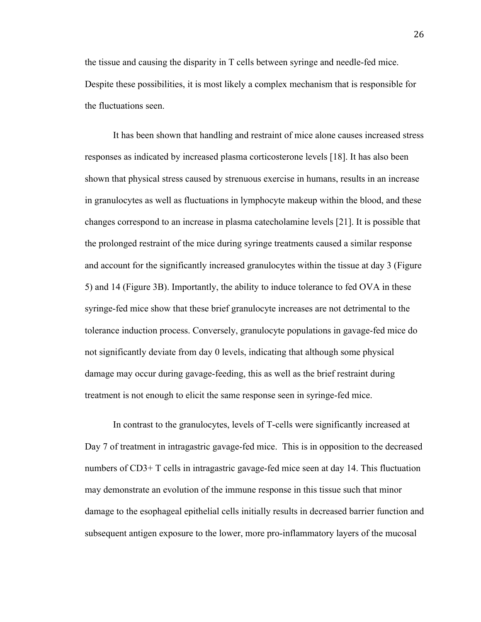the tissue and causing the disparity in T cells between syringe and needle-fed mice. Despite these possibilities, it is most likely a complex mechanism that is responsible for the fluctuations seen.

It has been shown that handling and restraint of mice alone causes increased stress responses as indicated by increased plasma corticosterone levels [18]. It has also been shown that physical stress caused by strenuous exercise in humans, results in an increase in granulocytes as well as fluctuations in lymphocyte makeup within the blood, and these changes correspond to an increase in plasma catecholamine levels [21]. It is possible that the prolonged restraint of the mice during syringe treatments caused a similar response and account for the significantly increased granulocytes within the tissue at day 3 (Figure 5) and 14 (Figure 3B). Importantly, the ability to induce tolerance to fed OVA in these syringe-fed mice show that these brief granulocyte increases are not detrimental to the tolerance induction process. Conversely, granulocyte populations in gavage-fed mice do not significantly deviate from day 0 levels, indicating that although some physical damage may occur during gavage-feeding, this as well as the brief restraint during treatment is not enough to elicit the same response seen in syringe-fed mice.

In contrast to the granulocytes, levels of T-cells were significantly increased at Day 7 of treatment in intragastric gavage-fed mice. This is in opposition to the decreased numbers of CD3+ T cells in intragastric gavage-fed mice seen at day 14. This fluctuation may demonstrate an evolution of the immune response in this tissue such that minor damage to the esophageal epithelial cells initially results in decreased barrier function and subsequent antigen exposure to the lower, more pro-inflammatory layers of the mucosal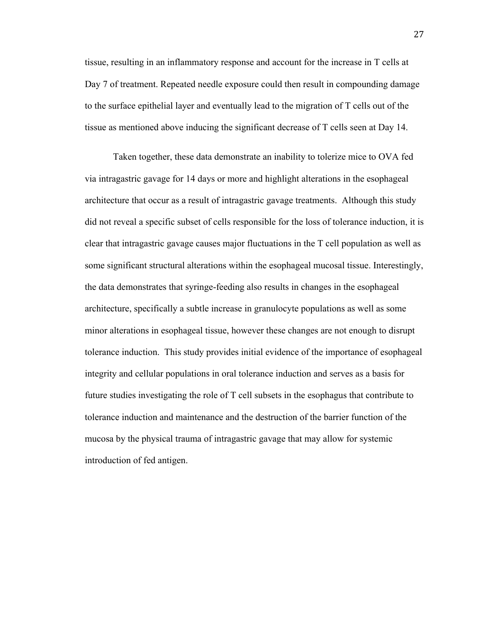tissue, resulting in an inflammatory response and account for the increase in T cells at Day 7 of treatment. Repeated needle exposure could then result in compounding damage to the surface epithelial layer and eventually lead to the migration of T cells out of the tissue as mentioned above inducing the significant decrease of T cells seen at Day 14.

Taken together, these data demonstrate an inability to tolerize mice to OVA fed via intragastric gavage for 14 days or more and highlight alterations in the esophageal architecture that occur as a result of intragastric gavage treatments. Although this study did not reveal a specific subset of cells responsible for the loss of tolerance induction, it is clear that intragastric gavage causes major fluctuations in the T cell population as well as some significant structural alterations within the esophageal mucosal tissue. Interestingly, the data demonstrates that syringe-feeding also results in changes in the esophageal architecture, specifically a subtle increase in granulocyte populations as well as some minor alterations in esophageal tissue, however these changes are not enough to disrupt tolerance induction. This study provides initial evidence of the importance of esophageal integrity and cellular populations in oral tolerance induction and serves as a basis for future studies investigating the role of T cell subsets in the esophagus that contribute to tolerance induction and maintenance and the destruction of the barrier function of the mucosa by the physical trauma of intragastric gavage that may allow for systemic introduction of fed antigen.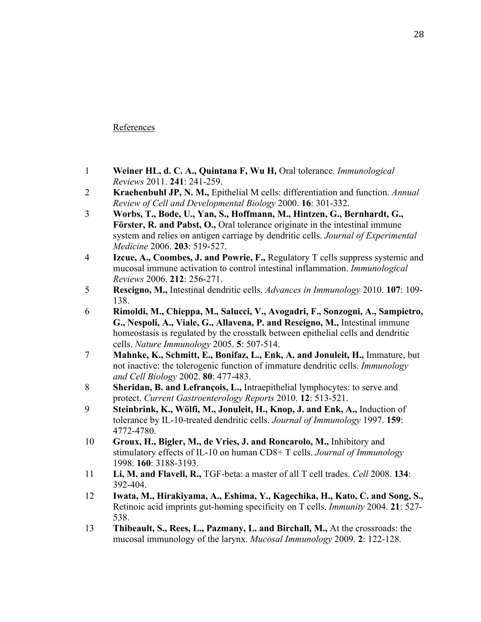## References

- 1 **Weiner HL, d. C. A., Quintana F, Wu H,** Oral tolerance. *Immunological Reviews* 2011. **241**: 241-259.
- 2 **Kraehenbuhl JP, N. M.,** Epithelial M cells: differentiation and function. *Annual Review of Cell and Developmental Biology* 2000. **16**: 301-332.
- 3 **Worbs, T., Bode, U., Yan, S., Hoffmann, M., Hintzen, G., Bernhardt, G., Förster, R. and Pabst, O.,** Oral tolerance originate in the intestinal immune system and relies on antigen carriage by dendritic cells. *Journal of Experimental Medicine* 2006. **203**: 519-527.
- 4 **Izcue, A., Coombes, J. and Powrie, F.,** Regulatory T cells suppress systemic and mucosal immune activation to control intestinal inflammation. *Immunological Reviews* 2006. **212**: 256-271.
- 5 **Rescigno, M.,** Intestinal dendritic cells. *Advances in Immunology* 2010. **107**: 109- 138.
- 6 **Rimoldi, M., Chieppa, M., Salucci, V., Avogadri, F., Sonzogni, A., Sampietro, G., Nespoli, A., Viale, G., Allavena, P. and Rescigno, M.,** Intestinal immune homeostasis is regulated by the crosstalk between epithelial cells and dendritic cells. *Nature Immunology* 2005. **5**: 507-514.
- 7 **Mahnke, K., Schmitt, E., Bonifaz, L., Enk, A. and Jonuleit, H.,** Immature, but not inactive: the tolerogenic function of immature dendritic cells. *Immunology and Cell Biology* 2002. **80**: 477-483.
- 8 **Sheridan, B. and Lefrançois, L.,** Intraepithelial lymphocytes: to serve and protect. *Current Gastroenterology Reports* 2010. **12**: 513-521.
- 9 **Steinbrink, K., Wölfi, M., Jonuleit, H., Knop, J. and Enk, A.,** Induction of tolerance by IL-10-treated dendritic cells. *Journal of Immunology* 1997. **159**: 4772-4780.
- 10 **Groux, H., Bigler, M., de Vries, J. and Roncarolo, M.,** Inhibitory and stimulatory effects of IL-10 on human CD8+ T cells. *Journal of Immunology* 1998. **160**: 3188-3193.
- 11 **Li, M. and Flavell, R.,** TGF-beta: a master of all T cell trades. *Cell* 2008. **134**: 392-404.
- 12 **Iwata, M., Hirakiyama, A., Eshima, Y., Kagechika, H., Kato, C. and Song, S.,** Retinoic acid imprints gut-homing specificity on T cells. *Immunity* 2004. **21**: 527- 538.
- 13 **Thibeault, S., Rees, L., Pazmany, L. and Birchall, M.,** At the crossroads: the mucosal immunology of the larynx. *Mucosal Immunology* 2009. **2**: 122-128.